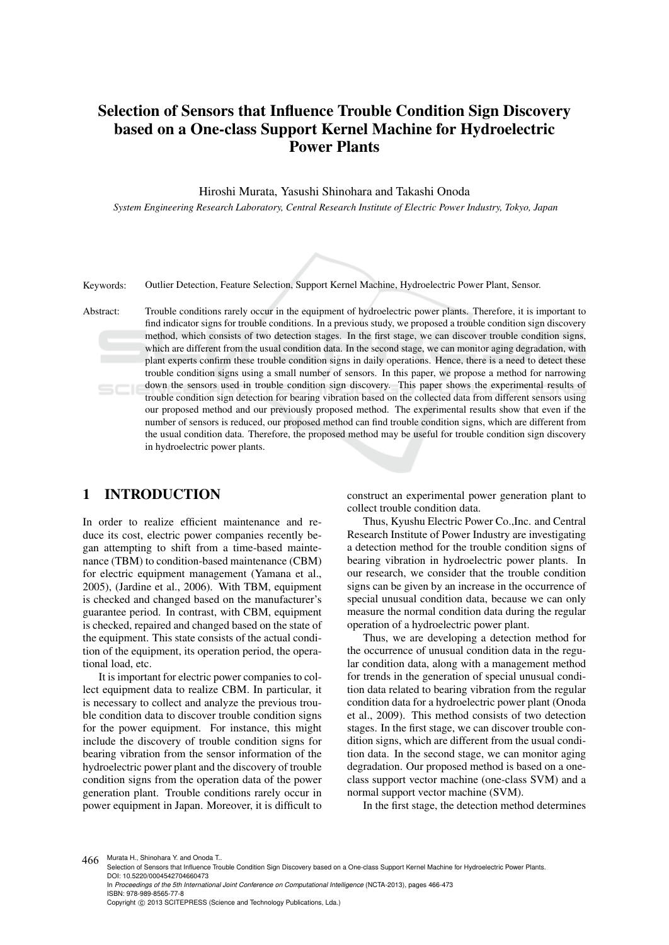# Selection of Sensors that Influence Trouble Condition Sign Discovery based on a One-class Support Kernel Machine for Hydroelectric Power Plants

Hiroshi Murata, Yasushi Shinohara and Takashi Onoda

*System Engineering Research Laboratory, Central Research Institute of Electric Power Industry, Tokyo, Japan*



Keywords: Outlier Detection, Feature Selection, Support Kernel Machine, Hydroelectric Power Plant, Sensor.

Abstract: Trouble conditions rarely occur in the equipment of hydroelectric power plants. Therefore, it is important to find indicator signs for trouble conditions. In a previous study, we proposed a trouble condition sign discovery method, which consists of two detection stages. In the first stage, we can discover trouble condition signs, which are different from the usual condition data. In the second stage, we can monitor aging degradation, with plant experts confirm these trouble condition signs in daily operations. Hence, there is a need to detect these trouble condition signs using a small number of sensors. In this paper, we propose a method for narrowing down the sensors used in trouble condition sign discovery. This paper shows the experimental results of trouble condition sign detection for bearing vibration based on the collected data from different sensors using our proposed method and our previously proposed method. The experimental results show that even if the number of sensors is reduced, our proposed method can find trouble condition signs, which are different from the usual condition data. Therefore, the proposed method may be useful for trouble condition sign discovery in hydroelectric power plants.

# 1 INTRODUCTION

In order to realize efficient maintenance and reduce its cost, electric power companies recently began attempting to shift from a time-based maintenance (TBM) to condition-based maintenance (CBM) for electric equipment management (Yamana et al., 2005), (Jardine et al., 2006). With TBM, equipment is checked and changed based on the manufacturer's guarantee period. In contrast, with CBM, equipment is checked, repaired and changed based on the state of the equipment. This state consists of the actual condition of the equipment, its operation period, the operational load, etc.

It is important for electric power companies to collect equipment data to realize CBM. In particular, it is necessary to collect and analyze the previous trouble condition data to discover trouble condition signs for the power equipment. For instance, this might include the discovery of trouble condition signs for bearing vibration from the sensor information of the hydroelectric power plant and the discovery of trouble condition signs from the operation data of the power generation plant. Trouble conditions rarely occur in power equipment in Japan. Moreover, it is difficult to construct an experimental power generation plant to collect trouble condition data.

Thus, Kyushu Electric Power Co.,Inc. and Central Research Institute of Power Industry are investigating a detection method for the trouble condition signs of bearing vibration in hydroelectric power plants. In our research, we consider that the trouble condition signs can be given by an increase in the occurrence of special unusual condition data, because we can only measure the normal condition data during the regular operation of a hydroelectric power plant.

Thus, we are developing a detection method for the occurrence of unusual condition data in the regular condition data, along with a management method for trends in the generation of special unusual condition data related to bearing vibration from the regular condition data for a hydroelectric power plant (Onoda et al., 2009). This method consists of two detection stages. In the first stage, we can discover trouble condition signs, which are different from the usual condition data. In the second stage, we can monitor aging degradation. Our proposed method is based on a oneclass support vector machine (one-class SVM) and a normal support vector machine (SVM).

In the first stage, the detection method determines

466 Murata H., Shinohara Y. and Onoda T..

Selection of Sensors that Influence Trouble Condition Sign Discovery based on a One-class Support Kernel Machine for Hydroelectric Power Plants. DOI: 10.5220/0004542704660473

In *Proceedings of the 5th International Joint Conference on Computational Intelligence* (NCTA-2013), pages 466-473 ISBN: 978-989-8565-77-8

Copyright © 2013 SCITEPRESS (Science and Technology Publications, Lda.)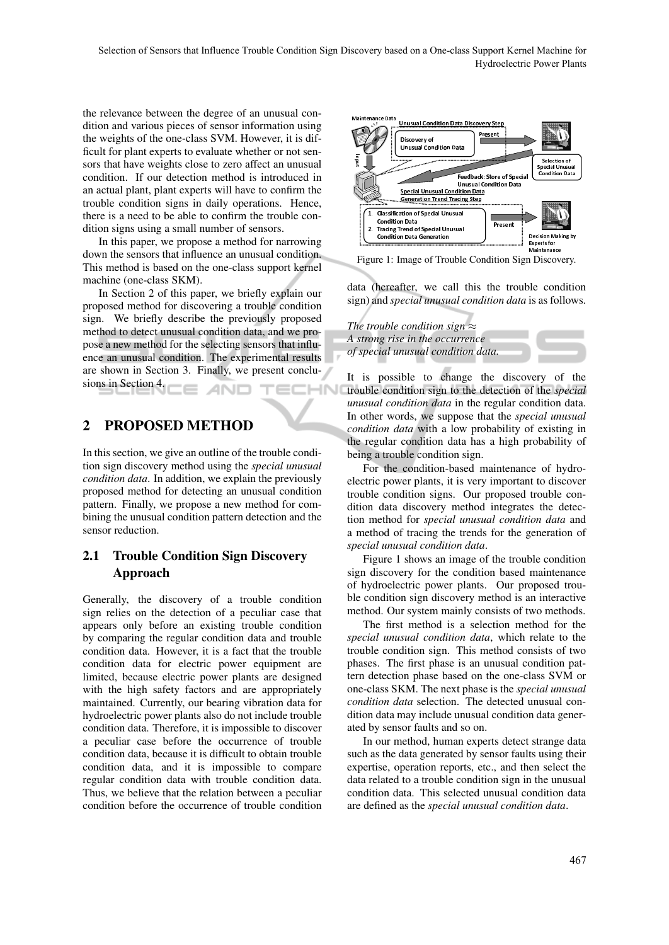the relevance between the degree of an unusual condition and various pieces of sensor information using the weights of the one-class SVM. However, it is difficult for plant experts to evaluate whether or not sensors that have weights close to zero affect an unusual condition. If our detection method is introduced in an actual plant, plant experts will have to confirm the trouble condition signs in daily operations. Hence, there is a need to be able to confirm the trouble condition signs using a small number of sensors.

In this paper, we propose a method for narrowing down the sensors that influence an unusual condition. This method is based on the one-class support kernel machine (one-class SKM).

In Section 2 of this paper, we briefly explain our proposed method for discovering a trouble condition sign. We briefly describe the previously proposed method to detect unusual condition data, and we propose a new method for the selecting sensors that influence an unusual condition. The experimental results are shown in Section 3. Finally, we present conclusions in Section 4. HN ANI

# 2 PROPOSED METHOD

In this section, we give an outline of the trouble condition sign discovery method using the *special unusual condition data*. In addition, we explain the previously proposed method for detecting an unusual condition pattern. Finally, we propose a new method for combining the unusual condition pattern detection and the sensor reduction.

# 2.1 Trouble Condition Sign Discovery Approach

Generally, the discovery of a trouble condition sign relies on the detection of a peculiar case that appears only before an existing trouble condition by comparing the regular condition data and trouble condition data. However, it is a fact that the trouble condition data for electric power equipment are limited, because electric power plants are designed with the high safety factors and are appropriately maintained. Currently, our bearing vibration data for hydroelectric power plants also do not include trouble condition data. Therefore, it is impossible to discover a peculiar case before the occurrence of trouble condition data, because it is difficult to obtain trouble condition data, and it is impossible to compare regular condition data with trouble condition data. Thus, we believe that the relation between a peculiar condition before the occurrence of trouble condition



Figure 1: Image of Trouble Condition Sign Discovery.

data (hereafter, we call this the trouble condition sign) and *special unusual condition data* is as follows.

*The trouble condition sign ≈ A strong rise in the occurrence of special unusual condition data.*

It is possible to change the discovery of the trouble condition sign to the detection of the *special unusual condition data* in the regular condition data. In other words, we suppose that the *special unusual condition data* with a low probability of existing in the regular condition data has a high probability of being a trouble condition sign.

For the condition-based maintenance of hydroelectric power plants, it is very important to discover trouble condition signs. Our proposed trouble condition data discovery method integrates the detection method for *special unusual condition data* and a method of tracing the trends for the generation of *special unusual condition data*.

Figure 1 shows an image of the trouble condition sign discovery for the condition based maintenance of hydroelectric power plants. Our proposed trouble condition sign discovery method is an interactive method. Our system mainly consists of two methods.

The first method is a selection method for the *special unusual condition data*, which relate to the trouble condition sign. This method consists of two phases. The first phase is an unusual condition pattern detection phase based on the one-class SVM or one-class SKM. The next phase is the *special unusual condition data* selection. The detected unusual condition data may include unusual condition data generated by sensor faults and so on.

In our method, human experts detect strange data such as the data generated by sensor faults using their expertise, operation reports, etc., and then select the data related to a trouble condition sign in the unusual condition data. This selected unusual condition data are defined as the *special unusual condition data*.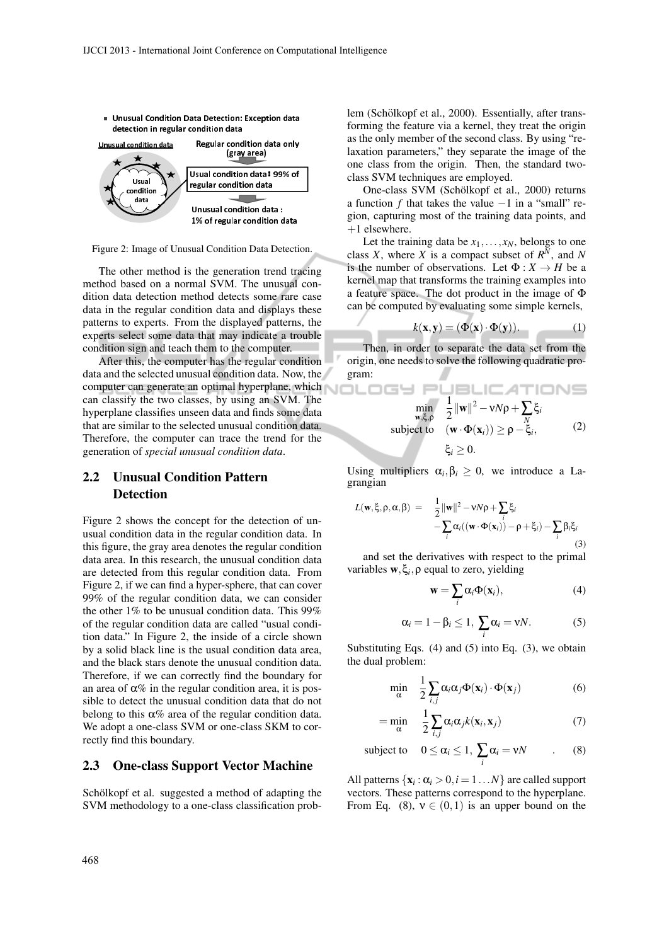

Figure 2: Image of Unusual Condition Data Detection.

The other method is the generation trend tracing method based on a normal SVM. The unusual condition data detection method detects some rare case data in the regular condition data and displays these patterns to experts. From the displayed patterns, the experts select some data that may indicate a trouble condition sign and teach them to the computer.

After this, the computer has the regular condition data and the selected unusual condition data. Now, the computer can generate an optimal hyperplane, which can classify the two classes, by using an SVM. The hyperplane classifies unseen data and finds some data that are similar to the selected unusual condition data. Therefore, the computer can trace the trend for the generation of *special unusual condition data*.

# 2.2 Unusual Condition Pattern Detection

Figure 2 shows the concept for the detection of unusual condition data in the regular condition data. In this figure, the gray area denotes the regular condition data area. In this research, the unusual condition data are detected from this regular condition data. From Figure 2, if we can find a hyper-sphere, that can cover 99% of the regular condition data, we can consider the other 1% to be unusual condition data. This 99% of the regular condition data are called "usual condition data." In Figure 2, the inside of a circle shown by a solid black line is the usual condition data area, and the black stars denote the unusual condition data. Therefore, if we can correctly find the boundary for an area of  $\alpha$ % in the regular condition area, it is possible to detect the unusual condition data that do not belong to this  $\alpha$ % area of the regular condition data. We adopt a one-class SVM or one-class SKM to correctly find this boundary.

#### 2.3 One-class Support Vector Machine

Schölkopf et al. suggested a method of adapting the SVM methodology to a one-class classification prob-

lem (Schölkopf et al., 2000). Essentially, after transforming the feature via a kernel, they treat the origin as the only member of the second class. By using "relaxation parameters," they separate the image of the one class from the origin. Then, the standard twoclass SVM techniques are employed.

One-class SVM (Schölkopf et al., 2000) returns a function *f* that takes the value *−*1 in a "small" region, capturing most of the training data points, and  $+1$  elsewhere.

Let the training data be  $x_1, \ldots, x_N$ , belongs to one class *X*, where *X* is a compact subset of  $R^N$ , and *N* is the number of observations. Let  $\Phi: X \to H$  be a kernel map that transforms the training examples into a feature space. The dot product in the image of Φ can be computed by evaluating some simple kernels,

$$
k(\mathbf{x}, \mathbf{y}) = (\Phi(\mathbf{x}) \cdot \Phi(\mathbf{y})). \tag{1}
$$

Then, in order to separate the data set from the origin, one needs to solve the following quadratic program:

NOL

$$
\min_{\mathbf{w}, \xi, \rho} \quad \frac{1}{2} \|\mathbf{w}\|^2 - vN\rho + \sum_{N} \xi_i
$$
\nsubject to 
$$
(\mathbf{w} \cdot \Phi(\mathbf{x}_i)) \ge \rho - \xi_i,
$$
\n
$$
\xi_i \ge 0.
$$
\n(2)

Using multipliers  $\alpha_i, \beta_i \geq 0$ , we introduce a Lagrangian

$$
L(\mathbf{w}, \xi, \rho, \alpha, \beta) = \frac{1}{2} ||\mathbf{w}||^2 - vN\rho + \sum_{i} \xi_i
$$
  
- 
$$
\sum_{i} \alpha_i ((\mathbf{w} \cdot \Phi(\mathbf{x}_i)) - \rho + \xi_i) - \sum_{i} \beta_i \xi_i
$$
 (3)

and set the derivatives with respect to the primal variables w*,*ξ*<sup>i</sup> ,*ρ equal to zero, yielding

$$
\mathbf{w} = \sum_{i} \alpha_{i} \Phi(\mathbf{x}_{i}), \qquad (4)
$$

$$
\alpha_i = 1 - \beta_i \le 1, \ \sum_i \alpha_i = \nu N. \tag{5}
$$

Substituting Eqs.  $(4)$  and  $(5)$  into Eq.  $(3)$ , we obtain the dual problem:

$$
\min_{\alpha} \quad \frac{1}{2} \sum_{i,j} \alpha_i \alpha_j \Phi(\mathbf{x}_i) \cdot \Phi(\mathbf{x}_j) \tag{6}
$$

$$
= \min_{\alpha} \quad \frac{1}{2} \sum_{i,j} \alpha_i \alpha_j k(\mathbf{x}_i, \mathbf{x}_j) \tag{7}
$$

subject to 
$$
0 \le \alpha_i \le 1
$$
,  $\sum_i \alpha_i = vN$  (8)

All patterns  $\{x_i : \alpha_i > 0, i = 1...N\}$  are called support vectors. These patterns correspond to the hyperplane. From Eq. (8),  $v \in (0,1)$  is an upper bound on the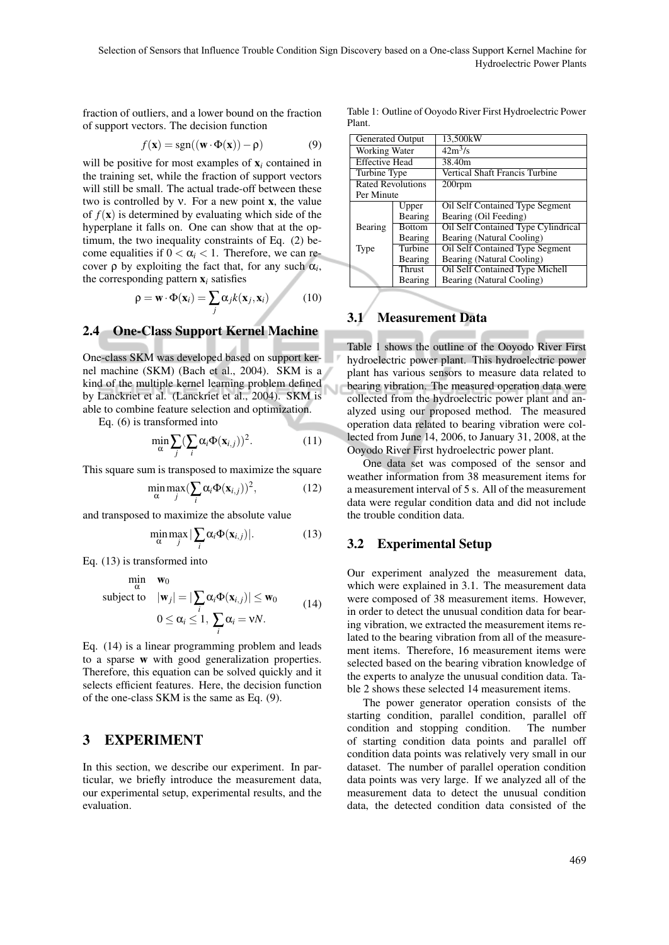Ñ

fraction of outliers, and a lower bound on the fraction of support vectors. The decision function

$$
f(\mathbf{x}) = sgn((\mathbf{w} \cdot \Phi(\mathbf{x})) - \rho)
$$
 (9)

will be positive for most examples of  $x_i$  contained in the training set, while the fraction of support vectors will still be small. The actual trade-off between these two is controlled by  $v$ . For a new point **x**, the value of  $f(\mathbf{x})$  is determined by evaluating which side of the hyperplane it falls on. One can show that at the optimum, the two inequality constraints of Eq. (2) become equalities if  $0 < \alpha_i < 1$ . Therefore, we can recover  $\rho$  by exploiting the fact that, for any such  $\alpha_i$ , the corresponding pattern  $x_i$  satisfies

$$
\rho = \mathbf{w} \cdot \Phi(\mathbf{x}_i) = \sum_j \alpha_j k(\mathbf{x}_j, \mathbf{x}_i)
$$
 (10)

#### 2.4 One-Class Support Kernel Machine

One-class SKM was developed based on support kernel machine (SKM) (Bach et al., 2004). SKM is a kind of the multiple kernel learning problem defined by Lanckriet et al. (Lanckriet et al., 2004). SKM is able to combine feature selection and optimization.

Eq. (6) is transformed into

$$
\min_{\alpha} \sum_{j} (\sum_{i} \alpha_{i} \Phi(\mathbf{x}_{i,j}))^{2}.
$$
 (11)

This square sum is transposed to maximize the square

$$
\min_{\alpha} \max_{j} (\sum_{i} \alpha_{i} \Phi(\mathbf{x}_{i,j}))^{2}, \qquad (12)
$$

and transposed to maximize the absolute value

$$
\min_{\alpha} \max_{j} |\sum_{i} \alpha_{i} \Phi(\mathbf{x}_{i,j})|.
$$
 (13)

Eq. (13) is transformed into

$$
\min_{\alpha} \quad \mathbf{w}_0
$$
\n
$$
\text{subject to} \quad |\mathbf{w}_j| = |\sum_i \alpha_i \Phi(\mathbf{x}_{i,j})| \le \mathbf{w}_0
$$
\n
$$
0 \le \alpha_i \le 1, \ \sum_i \alpha_i = \mathbf{v}N. \tag{14}
$$

Eq. (14) is a linear programming problem and leads to a sparse w with good generalization properties. Therefore, this equation can be solved quickly and it selects efficient features. Here, the decision function of the one-class SKM is the same as Eq. (9).

#### 3 EXPERIMENT

In this section, we describe our experiment. In particular, we briefly introduce the measurement data, our experimental setup, experimental results, and the evaluation.

Table 1: Outline of Ooyodo River First Hydroelectric Power Plant.

| <b>Generated Output</b>  |               | 13.500kW                                   |  |  |  |  |  |
|--------------------------|---------------|--------------------------------------------|--|--|--|--|--|
| Working Water            |               | $42m^3/s$                                  |  |  |  |  |  |
| <b>Effective Head</b>    |               | 38.40m                                     |  |  |  |  |  |
| Turbine Type             |               | Vertical Shaft Francis Turbine             |  |  |  |  |  |
| <b>Rated Revolutions</b> |               | $200$ rpm                                  |  |  |  |  |  |
| Per Minute               |               |                                            |  |  |  |  |  |
|                          | Upper         | Oil Self Contained Type Segment            |  |  |  |  |  |
|                          | Bearing       | Bearing (Oil Feeding)                      |  |  |  |  |  |
| Bearing                  | <b>Bottom</b> | <b>Oil Self Contained Type Cylindrical</b> |  |  |  |  |  |
|                          | Bearing       | Bearing (Natural Cooling)                  |  |  |  |  |  |
| Type                     | Turbine       | Oil Self Contained Type Segment            |  |  |  |  |  |
| Bearing                  |               | Bearing (Natural Cooling)                  |  |  |  |  |  |
| <b>Thrust</b>            |               | <b>Oil Self Contained Type Michell</b>     |  |  |  |  |  |
| Bearing                  |               | Bearing (Natural Cooling)                  |  |  |  |  |  |

#### 3.1 Measurement Data

Table 1 shows the outline of the Ooyodo River First hydroelectric power plant. This hydroelectric power plant has various sensors to measure data related to bearing vibration. The measured operation data were collected from the hydroelectric power plant and analyzed using our proposed method. The measured operation data related to bearing vibration were collected from June 14, 2006, to January 31, 2008, at the Ooyodo River First hydroelectric power plant.

One data set was composed of the sensor and weather information from 38 measurement items for a measurement interval of 5 s. All of the measurement data were regular condition data and did not include the trouble condition data.

#### 3.2 Experimental Setup

Our experiment analyzed the measurement data, which were explained in 3.1. The measurement data were composed of 38 measurement items. However, in order to detect the unusual condition data for bearing vibration, we extracted the measurement items related to the bearing vibration from all of the measurement items. Therefore, 16 measurement items were selected based on the bearing vibration knowledge of the experts to analyze the unusual condition data. Table 2 shows these selected 14 measurement items.

The power generator operation consists of the starting condition, parallel condition, parallel off condition and stopping condition. The number of starting condition data points and parallel off condition data points was relatively very small in our dataset. The number of parallel operation condition data points was very large. If we analyzed all of the measurement data to detect the unusual condition data, the detected condition data consisted of the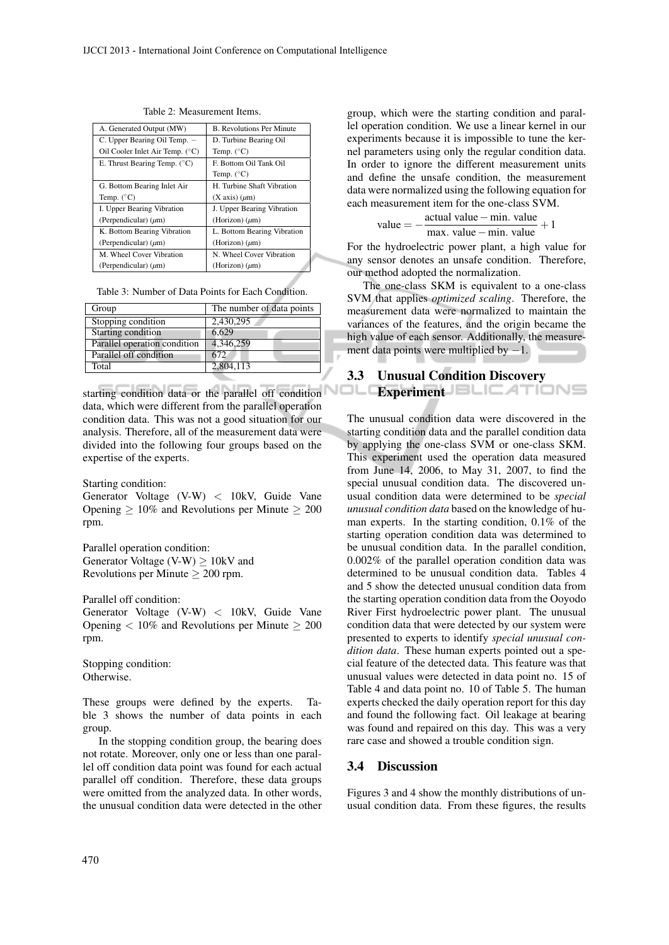| A. Generated Output (MW)              | <b>B.</b> Revolutions Per Minute |
|---------------------------------------|----------------------------------|
| C. Upper Bearing Oil Temp. -          | D. Turbine Bearing Oil           |
| Oil Cooler Inlet Air Temp. (°C)       | Temp. $(^{\circ}C)$              |
| E. Thrust Bearing Temp. $(^{\circ}C)$ | F. Bottom Oil Tank Oil           |
|                                       | Temp. $(^{\circ}C)$              |
| G. Bottom Bearing Inlet Air           | H. Turbine Shaft Vibration       |
| Temp. $(^{\circ}C)$                   | $(X axis)$ ( $\mu$ m)            |
| I. Upper Bearing Vibration            | J. Upper Bearing Vibration       |
| (Perpendicular) $(\mu m)$             | (Horizon) $(\mu m)$              |
| K. Bottom Bearing Vibration           | L. Bottom Bearing Vibration      |
| (Perpendicular) $(\mu m)$             | (Horizon) $(\mu m)$              |
| M. Wheel Cover Vibration              | N. Wheel Cover Vibration         |
| (Perpendicular) $(\mu m)$             | (Horizon) $(\mu m)$              |
|                                       |                                  |

Table 2: Measurement Items.

Table 3: Number of Data Points for Each Condition.

| Group                        | The number of data points |
|------------------------------|---------------------------|
| Stopping condition           | 2.430.295                 |
| Starting condition           | 6.629                     |
| Parallel operation condition | 4,346,259                 |
| Parallel off condition       | 672.                      |
| Total                        | 2.804.113                 |

starting condition data or the parallel off condition **Experiment** data, which were different from the parallel operation condition data. This was not a good situation for our analysis. Therefore, all of the measurement data were divided into the following four groups based on the expertise of the experts.

Starting condition:

Generator Voltage (V-W) *<* 10kV, Guide Vane Opening *≥* 10% and Revolutions per Minute *≥* 200 rpm.

Parallel operation condition: Generator Voltage (V-W) *≥* 10kV and Revolutions per Minute *≥* 200 rpm.

Parallel off condition:

Generator Voltage (V-W) *<* 10kV, Guide Vane Opening *<* 10% and Revolutions per Minute *≥* 200 rpm.

Stopping condition: Otherwise.

These groups were defined by the experts. Table 3 shows the number of data points in each group.

In the stopping condition group, the bearing does not rotate. Moreover, only one or less than one parallel off condition data point was found for each actual parallel off condition. Therefore, these data groups were omitted from the analyzed data. In other words, the unusual condition data were detected in the other

group, which were the starting condition and parallel operation condition. We use a linear kernel in our experiments because it is impossible to tune the kernel parameters using only the regular condition data. In order to ignore the different measurement units and define the unsafe condition, the measurement data were normalized using the following equation for each measurement item for the one-class SVM.

value = 
$$
-\frac{\text{actual value} - \text{min. value}}{\text{max. value} - \text{min. value}} + 1
$$

For the hydroelectric power plant, a high value for any sensor denotes an unsafe condition. Therefore, our method adopted the normalization.

The one-class SKM is equivalent to a one-class SVM that applies *optimized scaling*. Therefore, the measurement data were normalized to maintain the variances of the features, and the origin became the high value of each sensor. Additionally, the measurement data points were multiplied by *−*1.

# 3.3 Unusual Condition Discovery

The unusual condition data were discovered in the starting condition data and the parallel condition data by applying the one-class SVM or one-class SKM. This experiment used the operation data measured from June 14, 2006, to May 31, 2007, to find the special unusual condition data. The discovered unusual condition data were determined to be *special unusual condition data* based on the knowledge of human experts. In the starting condition, 0.1% of the starting operation condition data was determined to be unusual condition data. In the parallel condition, 0.002% of the parallel operation condition data was determined to be unusual condition data. Tables 4 and 5 show the detected unusual condition data from the starting operation condition data from the Ooyodo River First hydroelectric power plant. The unusual condition data that were detected by our system were presented to experts to identify *special unusual condition data*. These human experts pointed out a special feature of the detected data. This feature was that unusual values were detected in data point no. 15 of Table 4 and data point no. 10 of Table 5. The human experts checked the daily operation report for this day and found the following fact. Oil leakage at bearing was found and repaired on this day. This was a very rare case and showed a trouble condition sign.

#### 3.4 Discussion

Figures 3 and 4 show the monthly distributions of unusual condition data. From these figures, the results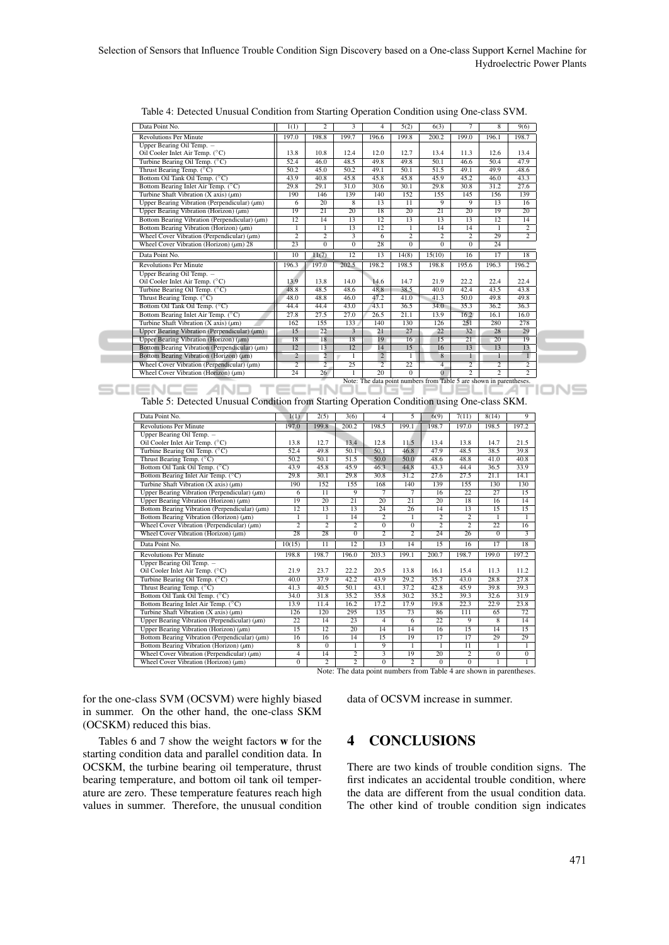| Data Point No.                                     | 1(1)            | $\overline{c}$  | 3                       | 4                 | 5(2)            | 6(3)            | 7              | 8               | 9(6)            |
|----------------------------------------------------|-----------------|-----------------|-------------------------|-------------------|-----------------|-----------------|----------------|-----------------|-----------------|
| <b>Revolutions Per Minute</b>                      | 197.0           | 198.8           | 199.7                   | 196.6             | 199.8           | 200.2           | 199.0          | 196.1           | 198.7           |
| Upper Bearing Oil Temp. -                          |                 |                 |                         |                   |                 |                 |                |                 |                 |
| Oil Cooler Inlet Air Temp. (°C)                    | 13.8            | 10.8            | 12.4                    | 12.0              | 12.7            | 13.4            | 11.3           | 12.6            | 13.4            |
| Turbine Bearing Oil Temp. (°C)                     | 52.4            | 46.0            | 48.5                    | 49.8              | 49.8            | 50.1            | 46.6           | 50.4            | 47.9            |
| Thrust Bearing Temp. (°C)                          | 50.2            | 45.0            | 50.2                    | 49.1              | 50.1            | 51.5            | 49.1           | 49.9            | .48.6           |
| Bottom Oil Tank Oil Temp. (°C)                     | 43.9            | 40.8            | 45.8                    | 45.8              | 45.8            | 45.9            | 45.2           | 46.0            | 43.3            |
| Bottom Bearing Inlet Air Temp. (°C)                | 29.8            | 29.1            | 31.0                    | $\overline{30.6}$ | 30.1            | 29.8            | 30.8           | 31.2            | 27.6            |
| Turbine Shaft Vibration (X axis) $(\mu m)$         | 190             | 146             | 139                     | 140               | 152             | 155             | 145            | 156             | 139             |
| Upper Bearing Vibration (Perpendicular) $(\mu m)$  | 6               | 20              | 8                       | 13                | $\overline{11}$ | 9               | 9              | 13              | 16              |
| Upper Bearing Vibration (Horizon) $(\mu m)$        | 19              | $\overline{21}$ | 20                      | 18                | 20              | $\overline{21}$ | 20             | 19              | 20              |
| Bottom Bearing Vibration (Perpendicular) $(\mu m)$ | 12              | 14              | 13                      | $\overline{12}$   | 13              | 13              | 13             | $\overline{12}$ | 14              |
| Bottom Bearing Vibration (Horizon) $(\mu m)$       | 1               | 1               | 13                      | 12                |                 | 14              | 14             |                 | $\overline{2}$  |
| Wheel Cover Vibration (Perpendicular) $(\mu m)$    | $\overline{c}$  | $\overline{2}$  | $\overline{\mathbf{3}}$ | 6                 | $\overline{2}$  | 2               | $\overline{c}$ | 29              | $\overline{2}$  |
| Wheel Cover Vibration (Horizon) $(\mu m)$ 28       | $\overline{23}$ | $\overline{0}$  | $\overline{0}$          | $\overline{28}$   | $\overline{0}$  | $\overline{0}$  | $\overline{0}$ | $\overline{24}$ |                 |
| Data Point No.                                     | 10              | 11(7)           | 12                      | 13                | 14(8)           | 15(10)          | 16             | 17              | $\overline{18}$ |
| <b>Revolutions Per Minute</b>                      | 196.3           | 197.0           | 202.5                   | 198.2             | 198.5           | 198.8           | 195.6          | 196.3           | 196.2           |
| Upper Bearing Oil Temp. -                          |                 |                 |                         |                   |                 |                 |                |                 |                 |
| Oil Cooler Inlet Air Temp. (°C)                    | 13.9            | 13.8            | 14.0                    | 14.6              | 14.7            | 21.9            | 22.2           | 22.4            | 22.4            |
| Turbine Bearing Oil Temp. (°C)                     | 48.8            | 48.5            | 48.6                    | 48.8              | 38.5            | 40.0            | 42.4           | 43.5            | 43.8            |
| Thrust Bearing Temp. $(^{\circ}C)$                 | 48.0            | 48.8            | 46.0                    | 47.2              | 41.0            | 41.3            | 50.0           | 49.8            | 49.8            |
| Bottom Oil Tank Oil Temp. (°C)                     | 44.4            | 44.4            | 43.0                    | 43.1              | 36.5            | 34.0            | 35.3           | 36.2            | 36.3            |
| Bottom Bearing Inlet Air Temp. (°C)                | 27.8            | 27.5            | 27.0                    | 26.5              | 21.1            | 13.9            | 16.2           | 16.1            | 16.0            |
| Turbine Shaft Vibration (X axis) $(\mu m)$         | 162             | 155             | 133                     | 140               | 130             | 126             | 251            | 280             | 278             |
| Upper Bearing Vibration (Perpendicular) $(\mu m)$  | 15              | 22              | 3                       | 21                | 27              | 22              | 32             | 28              | 29              |
| Upper Bearing Vibration (Horizon) $(\mu m)$        | 18              | 18              | $\overline{18}$         | 19                | 16              | 15              | 21             | 20              | 19              |
| Bottom Bearing Vibration (Perpendicular) $(\mu m)$ | 12              | 13              | 12                      | 14                | 15              | 16              | 13             | 13              | 13              |
| Bottom Bearing Vibration (Horizon) $(\mu m)$       | $\overline{2}$  | $\overline{2}$  | $\mathbf{1}$            | $\overline{2}$    | $\mathbf{1}$    | 8               | $\mathbf{1}$   |                 | $\mathbf{1}$    |
| Wheel Cover Vibration (Perpendicular) $(\mu m)$    | $\overline{2}$  | $\overline{2}$  | $\overline{25}$         | $\overline{2}$    | 22              | $\overline{4}$  | $\overline{2}$ | $\overline{2}$  | $\overline{2}$  |
| Wheel Cover Vibration (Horizon) $(\mu m)$          | 24              | 26              |                         | 20                | $\Omega$        | $\Omega$        | $\overline{2}$ | $\overline{2}$  | $\overline{2}$  |

Table 4: Detected Unusual Condition from Starting Operation Condition using One-class SVM.

**SCIENCE AND TED** 

Table 5: Detected Unusual Condition from Starting Operation Condition using One-class SKM.

| Data Point No.                                                                               | 1(1)            | 2(5)                 | 3(6)                             | 4                       | 5                    | 6(9)            | 7(11)           | 8(14)           | 9               |
|----------------------------------------------------------------------------------------------|-----------------|----------------------|----------------------------------|-------------------------|----------------------|-----------------|-----------------|-----------------|-----------------|
| <b>Revolutions Per Minute</b>                                                                | 197.0           | 199.8                | 200.2                            | 198.5                   | 199.1                | 198.7           | 197.0           | 198.5           | 197.2           |
| Upper Bearing Oil Temp. -                                                                    |                 |                      |                                  |                         |                      |                 |                 |                 |                 |
| Oil Cooler Inlet Air Temp. (°C)                                                              | 13.8            | 12.7                 | 13.4                             | 12.8                    | 11.5                 | 13.4            | 13.8            | 14.7            | 21.5            |
| Turbine Bearing Oil Temp. (°C)                                                               | 52.4            | 49.8                 | 50.1                             | 50.1                    | 46.8                 | 47.9            | 48.5            | 38.5            | 39.8            |
| Thrust Bearing Temp. (°C)                                                                    | 50.2            | 50.1                 | 51.5                             | 50.0                    | 50.0                 | .48.6           | 48.8            | 41.0            | 40.8            |
| Bottom Oil Tank Oil Temp. (°C)                                                               | 43.9            | 45.8                 | 45.9                             | 46.3                    | 44.8                 | 43.3            | 44.4            | 36.5            | 33.9            |
| Bottom Bearing Inlet Air Temp. (°C)                                                          | 29.8            | 30.1                 | 29.8                             | 30.8                    | 31.2                 | 27.6            | 27.5            | 21.1            | 14.1            |
| Turbine Shaft Vibration $(X axis)$ (um)                                                      | 190             | 152                  | 155                              | 168                     | 140                  | 139             | 155             | 130             | 130             |
| Upper Bearing Vibration (Perpendicular) $(\mu m)$                                            | 6               | 11                   | 9                                | 7                       | $\overline{7}$       | 16              | 22              | 27              | 15              |
| Upper Bearing Vibration (Horizon) $(\mu m)$                                                  | 19              | 20                   | 21                               | 20                      | 21                   | 20              | 18              | 16              | 14              |
| Bottom Bearing Vibration (Perpendicular) $(\mu m)$                                           | 12              | 13                   | 13                               | $\overline{24}$         | 26                   | 14              | 13              | 15              | 15              |
| Bottom Bearing Vibration (Horizon) (µm)                                                      | 1               | 1                    | 14                               | $\overline{2}$          | 1                    | $\overline{2}$  | $\overline{2}$  | 1               | 1               |
| Wheel Cover Vibration (Perpendicular) $(\mu m)$                                              | $\overline{2}$  | $\overline{2}$       | $\overline{2}$                   | $\Omega$                | $\Omega$             | $\overline{2}$  | $\overline{c}$  | 22              | 16              |
| Wheel Cover Vibration (Horizon) $(\mu m)$                                                    | 28              | $\overline{28}$      | $\overline{0}$                   | $\overline{2}$          | $\overline{2}$       | 24              | 26              | $\overline{0}$  | $\overline{3}$  |
|                                                                                              |                 |                      |                                  |                         |                      |                 |                 |                 |                 |
| Data Point No.                                                                               | 10(15)          | $\overline{11}$      | $\overline{12}$                  | $\overline{13}$         | 14                   | $\overline{15}$ | 16              | $\overline{17}$ | $\overline{18}$ |
| <b>Revolutions Per Minute</b>                                                                | 198.8           | 198.7                | 196.0                            | 203.3                   | 199.1                | 200.7           | 198.7           | 199.0           | 197.2           |
| Upper Bearing Oil Temp. -                                                                    |                 |                      |                                  |                         |                      |                 |                 |                 |                 |
| Oil Cooler Inlet Air Temp. (°C)                                                              | 21.9            | 23.7                 | 22.2                             | 20.5                    | 13.8                 | 16.1            | 15.4            | 11.3            | 11.2            |
| Turbine Bearing Oil Temp. (°C)                                                               | 40.0            | 37.9                 | 42.2                             | 43.9                    | 29.2                 | 35.7            | 43.0            | 28.8            | 27.8            |
| Thrust Bearing Temp. (°C)                                                                    | 41.3            | 40.5                 | 50.1                             | 43.1                    | 37.2                 | 42.8            | 45.9            | 39.8            | 39.3            |
| Bottom Oil Tank Oil Temp. (°C)                                                               | 34.0            | 31.8                 | 35.2                             | 35.8                    | 30.2                 | 35.2            | 39.3            | 32.6            | 31.9            |
| Bottom Bearing Inlet Air Temp. (°C)                                                          | 13.9            | 11.4                 | 16.2                             | 17.2                    | 17.9                 | 19.8            | 22.3            | 22.9            | 23.8            |
| Turbine Shaft Vibration (X axis) $(\mu m)$                                                   | 126             | 120                  | 295                              | 135                     | 73                   | 86              | 111             | 65              | 72              |
| Upper Bearing Vibration (Perpendicular) $(\mu m)$                                            | 22              | 14                   | 23                               | $\overline{4}$          | 6                    | 22              | $\overline{9}$  | 8               | 14              |
| Upper Bearing Vibration (Horizon) $(\mu m)$                                                  | $\overline{15}$ | $\overline{12}$      | $\overline{20}$                  | 14                      | 14                   | $\overline{16}$ | $\overline{15}$ | $\overline{14}$ | $\overline{15}$ |
| Bottom Bearing Vibration (Perpendicular) $(\mu m)$                                           | 16              | 16                   | 14                               | 15                      | 19                   | 17              | 17              | 29              | 29              |
| Bottom Bearing Vibration (Horizon) (um)                                                      | 8               | $\Omega$             | 1                                | 9                       | 1                    | 1               | $\overline{11}$ | 1               | 1               |
| Wheel Cover Vibration (Perpendicular) $(\mu m)$<br>Wheel Cover Vibration (Horizon) $(\mu m)$ | $\overline{4}$  | 14<br>$\overline{2}$ | $\overline{2}$<br>$\overline{2}$ | $\overline{\mathbf{3}}$ | 19<br>$\overline{2}$ | $\overline{20}$ | $\overline{2}$  | $\overline{0}$  | $\overline{0}$  |

Note: The data point numbers from Table 4 are shown in parentheses.

for the one-class SVM (OCSVM) were highly biased in summer. On the other hand, the one-class SKM (OCSKM) reduced this bias.

Tables 6 and 7 show the weight factors w for the starting condition data and parallel condition data. In OCSKM, the turbine bearing oil temperature, thrust bearing temperature, and bottom oil tank oil temperature are zero. These temperature features reach high values in summer. Therefore, the unusual condition

data of OCSVM increase in summer.

# 4 CONCLUSIONS

There are two kinds of trouble condition signs. The first indicates an accidental trouble condition, where the data are different from the usual condition data. The other kind of trouble condition sign indicates

INS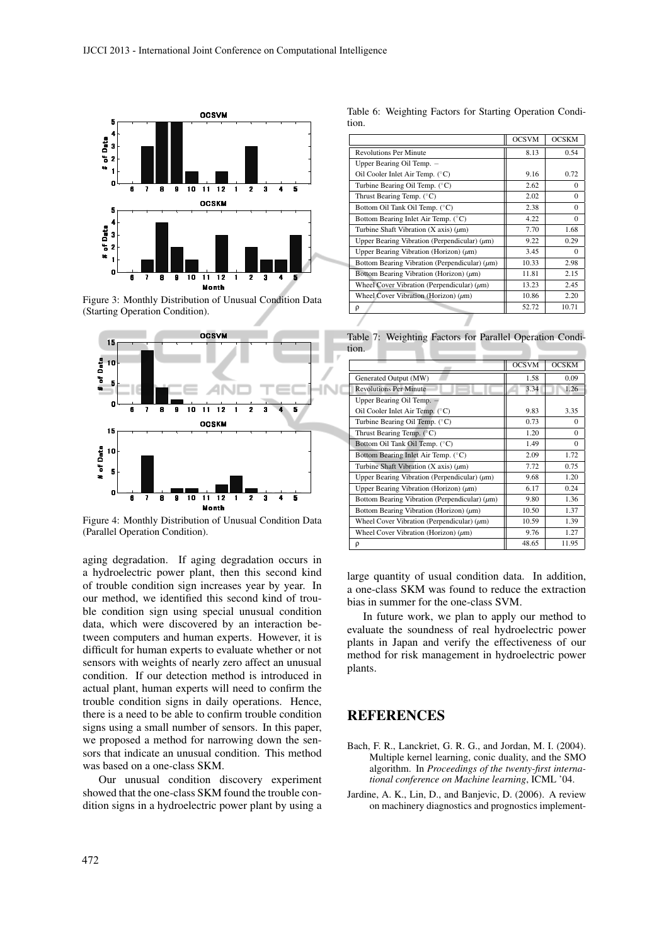

Figure 3: Monthly Distribution of Unusual Condition Data (Starting Operation Condition).



Figure 4: Monthly Distribution of Unusual Condition Data (Parallel Operation Condition).

aging degradation. If aging degradation occurs in a hydroelectric power plant, then this second kind of trouble condition sign increases year by year. In our method, we identified this second kind of trouble condition sign using special unusual condition data, which were discovered by an interaction between computers and human experts. However, it is difficult for human experts to evaluate whether or not sensors with weights of nearly zero affect an unusual condition. If our detection method is introduced in actual plant, human experts will need to confirm the trouble condition signs in daily operations. Hence, there is a need to be able to confirm trouble condition signs using a small number of sensors. In this paper, we proposed a method for narrowing down the sensors that indicate an unusual condition. This method was based on a one-class SKM.

Our unusual condition discovery experiment showed that the one-class SKM found the trouble condition signs in a hydroelectric power plant by using a

Table 6: Weighting Factors for Starting Operation Condition.

|                                                    | <b>OCSVM</b> | <b>OCSKM</b> |
|----------------------------------------------------|--------------|--------------|
| <b>Revolutions Per Minute</b>                      | 8.13         | 0.54         |
| Upper Bearing Oil Temp. -                          |              |              |
| Oil Cooler Inlet Air Temp. (°C)                    | 9.16         | 0.72         |
| Turbine Bearing Oil Temp. (°C)                     | 2.62         | $\Omega$     |
| Thrust Bearing Temp. $(^{\circ}C)$                 | 2.02         | $\Omega$     |
| Bottom Oil Tank Oil Temp. (°C)                     | 2.38         | $\Omega$     |
| Bottom Bearing Inlet Air Temp. (°C)                | 4.22         | $\Omega$     |
| Turbine Shaft Vibration (X axis) $(\mu m)$         | 7.70         | 1.68         |
| Upper Bearing Vibration (Perpendicular) $(\mu m)$  | 9.22         | 0.29         |
| Upper Bearing Vibration (Horizon) $(\mu m)$        | 3.45         | $\Omega$     |
| Bottom Bearing Vibration (Perpendicular) $(\mu m)$ | 10.33        | 2.98         |
| Bottom Bearing Vibration (Horizon) $(\mu m)$       | 11.81        | 2.15         |
| Wheel Cover Vibration (Perpendicular) $(\mu m)$    | 13.23        | 2.45         |
| Wheel Cover Vibration (Horizon) $(\mu m)$          | 10.86        | 2.20         |
| ρ                                                  | 52.72        | 10.71        |
|                                                    |              |              |

Table 7: Weighting Factors for Parallel Operation Condition.

|                                                    | <b>OCSVM</b> | <b>OCSKM</b> |
|----------------------------------------------------|--------------|--------------|
| Generated Output (MW)                              | 1.58         | 0.09         |
| <b>Revolutions Per Minute</b>                      | 3.34         | 1.26         |
| Upper Bearing Oil Temp. -                          |              |              |
| Oil Cooler Inlet Air Temp. (°C)                    | 9.83         | 3.35         |
| Turbine Bearing Oil Temp. (°C)                     | 0.73         | $\Omega$     |
| Thrust Bearing Temp. $(^{\circ}C)$                 | 1.20         | $\Omega$     |
| Bottom Oil Tank Oil Temp. (°C)                     | 1.49         | $\Omega$     |
| Bottom Bearing Inlet Air Temp. (°C)                | 2.09         | 1.72         |
| Turbine Shaft Vibration (X axis) $(\mu m)$         | 7.72         | 0.75         |
| Upper Bearing Vibration (Perpendicular) $(\mu m)$  | 9.68         | 1.20         |
| Upper Bearing Vibration (Horizon) $(\mu m)$        | 6.17         | 0.24         |
| Bottom Bearing Vibration (Perpendicular) $(\mu m)$ | 9.80         | 1.36         |
| Bottom Bearing Vibration (Horizon) $(\mu m)$       | 10.50        | 1.37         |
| Wheel Cover Vibration (Perpendicular) $(\mu m)$    | 10.59        | 1.39         |
| Wheel Cover Vibration (Horizon) $(\mu m)$          | 9.76         | 1.27         |
| ρ                                                  | 48.65        | 11.95        |

large quantity of usual condition data. In addition, a one-class SKM was found to reduce the extraction bias in summer for the one-class SVM.

In future work, we plan to apply our method to evaluate the soundness of real hydroelectric power plants in Japan and verify the effectiveness of our method for risk management in hydroelectric power plants.

### **REFERENCES**

- Bach, F. R., Lanckriet, G. R. G., and Jordan, M. I. (2004). Multiple kernel learning, conic duality, and the SMO algorithm. In *Proceedings of the twenty-first international conference on Machine learning*, ICML '04.
- Jardine, A. K., Lin, D., and Banjevic, D. (2006). A review on machinery diagnostics and prognostics implement-